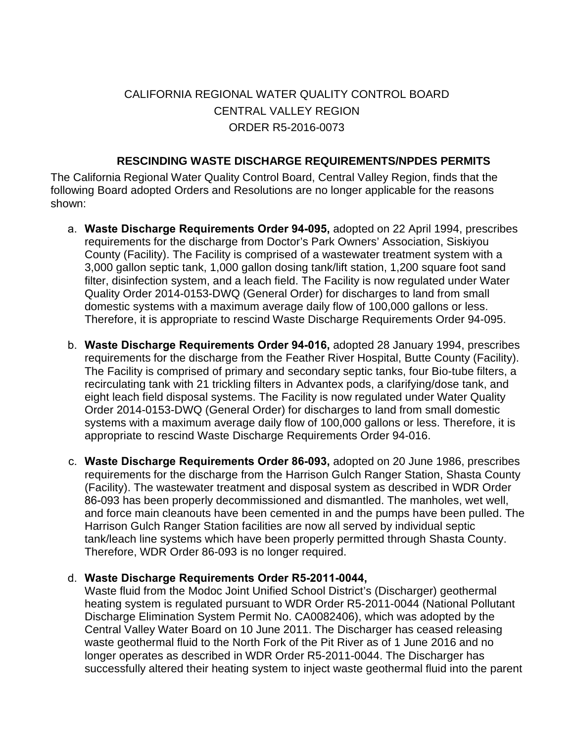## CALIFORNIA REGIONAL WATER QUALITY CONTROL BOARD CENTRAL VALLEY REGION ORDER R5-2016-0073

## **RESCINDING WASTE DISCHARGE REQUIREMENTS/NPDES PERMITS**

 The California Regional Water Quality Control Board, Central Valley Region, finds that the following Board adopted Orders and Resolutions are no longer applicable for the reasons shown:

- a. **Waste Discharge Requirements Order 94-095,** adopted on 22 April 1994, prescribes requirements for the discharge from Doctor's Park Owners' Association, Siskiyou County (Facility). The Facility is comprised of a wastewater treatment system with a 3,000 gallon septic tank, 1,000 gallon dosing tank/lift station, 1,200 square foot sand filter, disinfection system, and a leach field. The Facility is now regulated under Water Quality Order 2014-0153-DWQ (General Order) for discharges to land from small domestic systems with a maximum average daily flow of 100,000 gallons or less. Therefore, it is appropriate to rescind Waste Discharge Requirements Order 94-095.
- b. **Waste Discharge Requirements Order 94-016,** adopted 28 January 1994, prescribes requirements for the discharge from the Feather River Hospital, Butte County (Facility). The Facility is comprised of primary and secondary septic tanks, four Bio-tube filters, a recirculating tank with 21 trickling filters in Advantex pods, a clarifying/dose tank, and eight leach field disposal systems. The Facility is now regulated under Water Quality Order 2014-0153-DWQ (General Order) for discharges to land from small domestic systems with a maximum average daily flow of 100,000 gallons or less. Therefore, it is appropriate to rescind Waste Discharge Requirements Order 94-016.
- c. **Waste Discharge Requirements Order 86-093,** adopted on 20 June 1986, prescribes requirements for the discharge from the Harrison Gulch Ranger Station, Shasta County (Facility). The wastewater treatment and disposal system as described in WDR Order 86-093 has been properly decommissioned and dismantled. The manholes, wet well, and force main cleanouts have been cemented in and the pumps have been pulled. The Harrison Gulch Ranger Station facilities are now all served by individual septic tank/leach line systems which have been properly permitted through Shasta County. Therefore, WDR Order 86-093 is no longer required.

## d. **Waste Discharge Requirements Order R5-2011-0044,**

Waste fluid from the Modoc Joint Unified School District's (Discharger) geothermal heating system is regulated pursuant to WDR Order R5-2011-0044 (National Pollutant Discharge Elimination System Permit No. CA0082406), which was adopted by the Central Valley Water Board on 10 June 2011. The Discharger has ceased releasing waste geothermal fluid to the North Fork of the Pit River as of 1 June 2016 and no longer operates as described in WDR Order R5-2011-0044. The Discharger has successfully altered their heating system to inject waste geothermal fluid into the parent